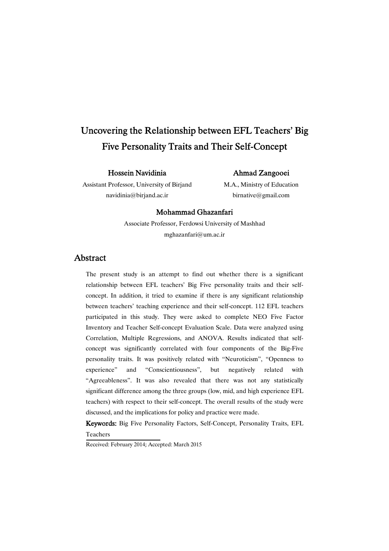# Uncovering the Relationship between EFL Teachers' Big Five Personality Traits and Their Self-Concept

### Hossein Navidinia

### Ahmad Zangooei

Assistant Professor, University of Birjand navidinia@birjand.ac.ir

M.A., Ministry of Education birnative@gmail.com

### Mohammad Ghazanfari

Associate Professor, Ferdowsi University of Mashhad mghazanfari@um.ac.ir

## Abstract

The present study is an attempt to find out whether there is a significant relationship between EFL teachers' Big Five personality traits and their selfconcept. In addition, it tried to examine if there is any significant relationship between teachers' teaching experience and their self-concept. 112 EFL teachers participated in this study. They were asked to complete NEO Five Factor Inventory and Teacher Self-concept Evaluation Scale. Data were analyzed using Correlation, Multiple Regressions, and ANOVA. Results indicated that selfconcept was significantly correlated with four components of the Big-Five personality traits. It was positively related with "Neuroticism", "Openness to experience" and "Conscientiousness", but negatively related with "Agreeableness". It was also revealed that there was not any statistically significant difference among the three groups (low, mid, and high experience EFL teachers) with respect to their self-concept. The overall results of the study were discussed, and the implications for policy and practice were made.

Keywords: Big Five Personality Factors, Self-Concept, Personality Traits, EFL Teachers

Received: February 2014; Accepted: March 2015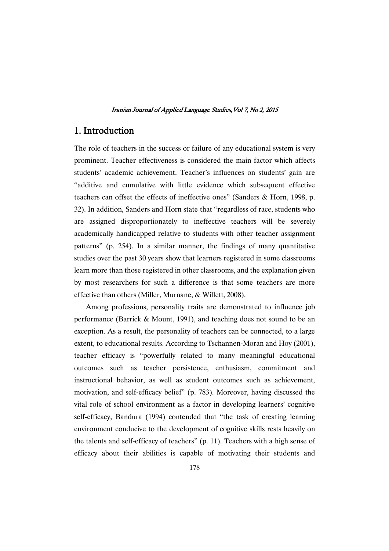## 1. Introduction

The role of teachers in the success or failure of any educational system is very prominent. Teacher effectiveness is considered the main factor which affects students' academic achievement. Teacher's influences on students' gain are "additive and cumulative with little evidence which subsequent effective teachers can offset the effects of ineffective ones" (Sanders & Horn, 1998, p. 32). In addition, Sanders and Horn state that "regardless of race, students who are assigned disproportionately to ineffective teachers will be severely academically handicapped relative to students with other teacher assignment patterns" (p. 254). In a similar manner, the findings of many quantitative studies over the past 30 years show that learners registered in some classrooms learn more than those registered in other classrooms, and the explanation given by most researchers for such a difference is that some teachers are more effective than others (Miller, Murnane, & Willett, 2008).

Among professions, personality traits are demonstrated to influence job performance (Barrick & Mount, 1991), and teaching does not sound to be an exception. As a result, the personality of teachers can be connected, to a large extent, to educational results. According to Tschannen-Moran and Hoy (2001), teacher efficacy is "powerfully related to many meaningful educational outcomes such as teacher persistence, enthusiasm, commitment and instructional behavior, as well as student outcomes such as achievement, motivation, and self-efficacy belief" (p. 783). Moreover, having discussed the vital role of school environment as a factor in developing learners' cognitive self-efficacy, Bandura (1994) contended that "the task of creating learning environment conducive to the development of cognitive skills rests heavily on the talents and self-efficacy of teachers" (p. 11). Teachers with a high sense of efficacy about their abilities is capable of motivating their students and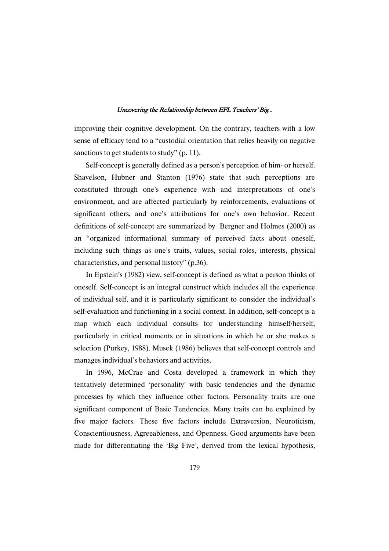improving their cognitive development. On the contrary, teachers with a low sense of efficacy tend to a "custodial orientation that relies heavily on negative sanctions to get students to study" (p. 11).

Self-concept is generally defined as a person's perception of him- or herself. Shavelson, Hubner and Stanton (1976) state that such perceptions are constituted through one's experience with and interpretations of one's environment, and are affected particularly by reinforcements, evaluations of significant others, and one's attributions for one's own behavior. Recent definitions of self-concept are summarized by Bergner and Holmes (2000) as an "organized informational summary of perceived facts about oneself, including such things as one's traits, values, social roles, interests, physical characteristics, and personal history" (p.36).

In Epstein's (1982) view, self-concept is defined as what a person thinks of oneself. Self-concept is an integral construct which includes all the experience of individual self, and it is particularly significant to consider the individual's self-evaluation and functioning in a social context. In addition, self-concept is a map which each individual consults for understanding himself/herself, particularly in critical moments or in situations in which he or she makes a selection (Purkey, 1988). Musek (1986) believes that self-concept controls and manages individual's behaviors and activities.

In 1996, McCrae and Costa developed a framework in which they tentatively determined 'personality' with basic tendencies and the dynamic processes by which they influence other factors. Personality traits are one significant component of Basic Tendencies. Many traits can be explained by five major factors. These five factors include Extraversion, Neuroticism, Conscientiousness, Agreeableness, and Openness. Good arguments have been made for differentiating the 'Big Five', derived from the lexical hypothesis,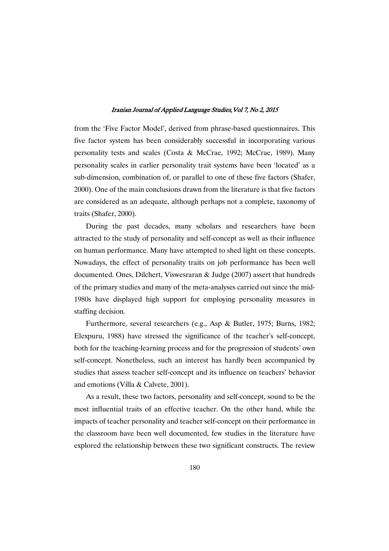from the 'Five Factor Model', derived from phrase-based questionnaires. This five factor system has been considerably successful in incorporating various personality tests and scales (Costa & McCrae, 1992; McCrae, 1989). Many personality scales in earlier personality trait systems have been 'located' as a sub-dimension, combination of, or parallel to one of these five factors (Shafer, 2000). One of the main conclusions drawn from the literature is that five factors are considered as an adequate, although perhaps not a complete, taxonomy of traits (Shafer, 2000).

During the past decades, many scholars and researchers have been attracted to the study of personality and self-concept as well as their influence on human performance. Many have attempted to shed light on these concepts. Nowadays, the effect of personality traits on job performance has been well documented. Ones, Dilchert, Viswesraran & Judge (2007) assert that hundreds of the primary studies and many of the meta-analyses carried out since the mid-1980s have displayed high support for employing personality measures in staffing decision.

Furthermore, several researchers (e.g., Asp & Butler, 1975; Burns, 1982; Elexpuru, 1988) have stressed the significance of the teacher's self-concept, both for the teaching-learning process and for the progression of students' own self-concept. Nonetheless, such an interest has hardly been accompanied by studies that assess teacher self-concept and its influence on teachers' behavior and emotions (Villa & Calvete, 2001).

As a result, these two factors, personality and self-concept, sound to be the most influential traits of an effective teacher. On the other hand, while the impacts of teacher personality and teacher self-concept on their performance in the classroom have been well documented, few studies in the literature have explored the relationship between these two significant constructs. The review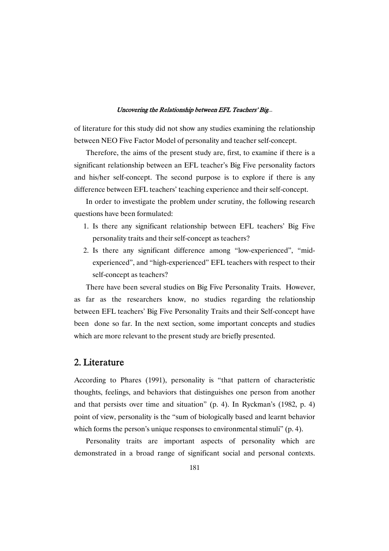of literature for this study did not show any studies examining the relationship between NEO Five Factor Model of personality and teacher self-concept.

Therefore, the aims of the present study are, first, to examine if there is a significant relationship between an EFL teacher's Big Five personality factors and his/her self-concept. The second purpose is to explore if there is any difference between EFL teachers' teaching experience and their self-concept.

In order to investigate the problem under scrutiny, the following research questions have been formulated:

- 1. Is there any significant relationship between EFL teachers' Big Five personality traits and their self-concept as teachers?
- 2. Is there any significant difference among "low-experienced", "midexperienced", and "high-experienced" EFL teachers with respect to their self-concept as teachers?

There have been several studies on Big Five Personality Traits. However, as far as the researchers know, no studies regarding the relationship between EFL teachers' Big Five Personality Traits and their Self-concept have been done so far. In the next section, some important concepts and studies which are more relevant to the present study are briefly presented.

## 2. Literature

According to Phares (1991), personality is "that pattern of characteristic thoughts, feelings, and behaviors that distinguishes one person from another and that persists over time and situation" (p. 4). In Ryckman's (1982, p. 4) point of view, personality is the "sum of biologically based and learnt behavior which forms the person's unique responses to environmental stimuli" (p. 4).

Personality traits are important aspects of personality which are demonstrated in a broad range of significant social and personal contexts.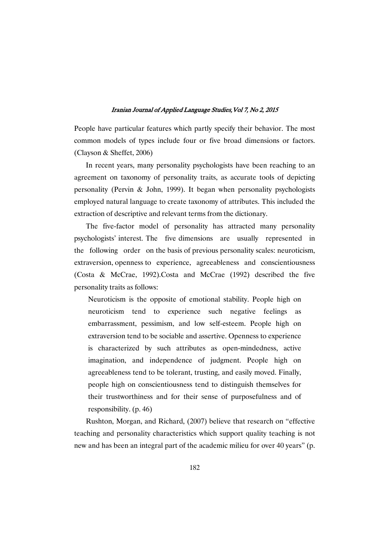People have particular features which partly specify their behavior. The most common models of types include four or five broad dimensions or factors. (Clayson & Sheffet, 2006)

In recent years, many personality psychologists have been reaching to an agreement on taxonomy of personality traits, as accurate tools of depicting personality (Pervin & John, 1999). It began when personality psychologists employed natural language to create taxonomy of attributes. This included the extraction of descriptive and relevant terms from the dictionary.

The five-factor model of personality has attracted many personality psychologists' interest. The five dimensions are usually represented in the following order on the basis of previous personality scales: neuroticism, extraversion, openness to experience, agreeableness and conscientiousness (Costa & McCrae, 1992).Costa and McCrae (1992) described the five personality traits as follows:

Neuroticism is the opposite of emotional stability. People high on neuroticism tend to experience such negative feelings as embarrassment, pessimism, and low self-esteem. People high on extraversion tend to be sociable and assertive. Openness to experience is characterized by such attributes as open-mindedness, active imagination, and independence of judgment. People high on agreeableness tend to be tolerant, trusting, and easily moved. Finally, people high on conscientiousness tend to distinguish themselves for their trustworthiness and for their sense of purposefulness and of responsibility. (p. 46)

Rushton, Morgan, and Richard, (2007) believe that research on "effective teaching and personality characteristics which support quality teaching is not new and has been an integral part of the academic milieu for over 40 years" (p.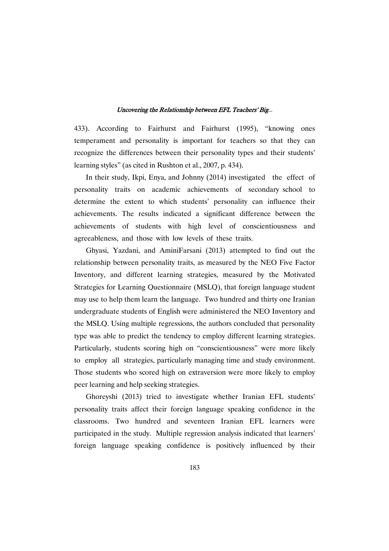433). According to Fairhurst and Fairhurst (1995), "knowing ones temperament and personality is important for teachers so that they can recognize the differences between their personality types and their students' learning styles" (as cited in Rushton et al., 2007, p. 434).

In their study, Ikpi, Enya, and Johnny (2014) investigated the effect of personality traits on academic achievements of secondary school to determine the extent to which students' personality can influence their achievements. The results indicated a significant difference between the achievements of students with high level of conscientiousness and agreeableness, and those with low levels of these traits.

Ghyasi, Yazdani, and AminiFarsani (2013) attempted to find out the relationship between personality traits, as measured by the NEO Five Factor Inventory, and different learning strategies, measured by the Motivated Strategies for Learning Questionnaire (MSLQ), that foreign language student may use to help them learn the language. Two hundred and thirty one Iranian undergraduate students of English were administered the NEO Inventory and the MSLQ. Using multiple regressions, the authors concluded that personality type was able to predict the tendency to employ different learning strategies. Particularly, students scoring high on "conscientiousness" were more likely to employ all strategies, particularly managing time and study environment. Those students who scored high on extraversion were more likely to employ peer learning and help seeking strategies.

Ghoreyshi (2013) tried to investigate whether Iranian EFL students' personality traits affect their foreign language speaking confidence in the classrooms. Two hundred and seventeen Iranian EFL learners were participated in the study. Multiple regression analysis indicated that learners' foreign language speaking confidence is positively influenced by their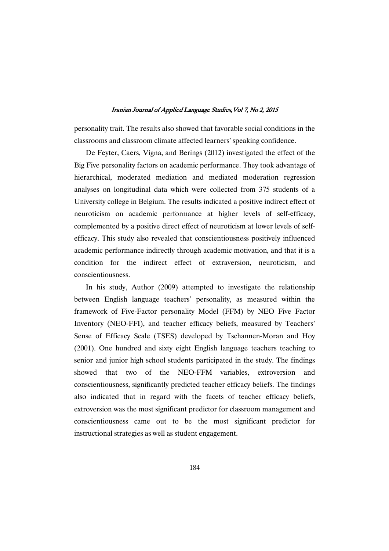personality trait. The results also showed that favorable social conditions in the classrooms and classroom climate affected learners' speaking confidence.

De Feyter, Caers, Vigna, and Berings (2012) investigated the effect of the Big Five personality factors on academic performance. They took advantage of hierarchical, moderated mediation and mediated moderation regression analyses on longitudinal data which were collected from 375 students of a University college in Belgium. The results indicated a positive indirect effect of neuroticism on academic performance at higher levels of self-efficacy, complemented by a positive direct effect of neuroticism at lower levels of selfefficacy. This study also revealed that conscientiousness positively influenced academic performance indirectly through academic motivation, and that it is a condition for the indirect effect of extraversion, neuroticism, and conscientiousness.

In his study, Author (2009) attempted to investigate the relationship between English language teachers' personality, as measured within the framework of Five-Factor personality Model (FFM) by NEO Five Factor Inventory (NEO-FFI), and teacher efficacy beliefs, measured by Teachers' Sense of Efficacy Scale (TSES) developed by Tschannen-Moran and Hoy (2001). One hundred and sixty eight English language teachers teaching to senior and junior high school students participated in the study. The findings showed that two of the NEO-FFM variables, extroversion and conscientiousness, significantly predicted teacher efficacy beliefs. The findings also indicated that in regard with the facets of teacher efficacy beliefs, extroversion was the most significant predictor for classroom management and conscientiousness came out to be the most significant predictor for instructional strategies as well as student engagement.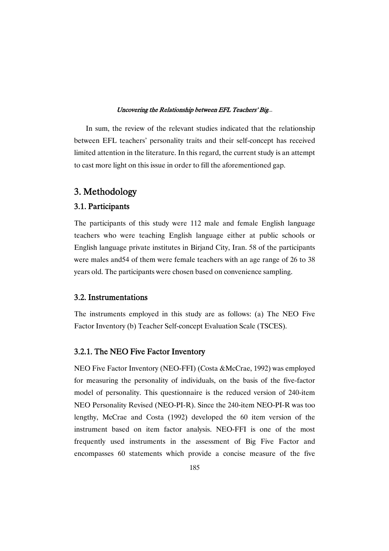In sum, the review of the relevant studies indicated that the relationship between EFL teachers' personality traits and their self-concept has received limited attention in the literature. In this regard, the current study is an attempt to cast more light on this issue in order to fill the aforementioned gap.

## 3. Methodology

### 3.1. Participants

The participants of this study were 112 male and female English language teachers who were teaching English language either at public schools or English language private institutes in Birjand City, Iran. 58 of the participants were males and54 of them were female teachers with an age range of 26 to 38 years old. The participants were chosen based on convenience sampling.

### 3.2. Instrumentations

The instruments employed in this study are as follows: (a) The NEO Five Factor Inventory (b) Teacher Self-concept Evaluation Scale (TSCES).

### 3.2.1. The NEO Five Factor Inventory

NEO Five Factor Inventory (NEO-FFI) (Costa &McCrae, 1992) was employed for measuring the personality of individuals, on the basis of the five-factor model of personality. This questionnaire is the reduced version of 240-item NEO Personality Revised (NEO-PI-R). Since the 240-item NEO-PI-R was too lengthy, McCrae and Costa (1992) developed the 60 item version of the instrument based on item factor analysis. NEO-FFI is one of the most frequently used instruments in the assessment of Big Five Factor and encompasses 60 statements which provide a concise measure of the five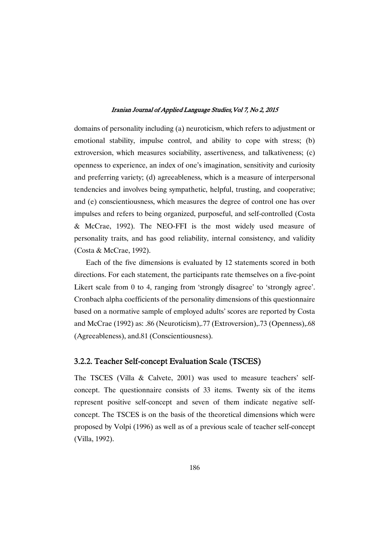domains of personality including (a) neuroticism, which refers to adjustment or emotional stability, impulse control, and ability to cope with stress; (b) extroversion, which measures sociability, assertiveness, and talkativeness; (c) openness to experience, an index of one's imagination, sensitivity and curiosity and preferring variety; (d) agreeableness, which is a measure of interpersonal tendencies and involves being sympathetic, helpful, trusting, and cooperative; and (e) conscientiousness, which measures the degree of control one has over impulses and refers to being organized, purposeful, and self-controlled (Costa & McCrae, 1992). The NEO-FFI is the most widely used measure of personality traits, and has good reliability, internal consistency, and validity (Costa & McCrae, 1992).

Each of the five dimensions is evaluated by 12 statements scored in both directions. For each statement, the participants rate themselves on a five-point Likert scale from 0 to 4, ranging from 'strongly disagree' to 'strongly agree'. Cronbach alpha coefficients of the personality dimensions of this questionnaire based on a normative sample of employed adults' scores are reported by Costa and McCrae (1992) as: .86 (Neuroticism),.77 (Extroversion),.73 (Openness),.68 (Agreeableness), and.81 (Conscientiousness).

### 3.2.2. Teacher Self-concept Evaluation Scale (TSCES)

The TSCES (Villa & Calvete, 2001) was used to measure teachers' selfconcept. The questionnaire consists of 33 items. Twenty six of the items represent positive self-concept and seven of them indicate negative selfconcept. The TSCES is on the basis of the theoretical dimensions which were proposed by Volpi (1996) as well as of a previous scale of teacher self-concept (Villa, 1992).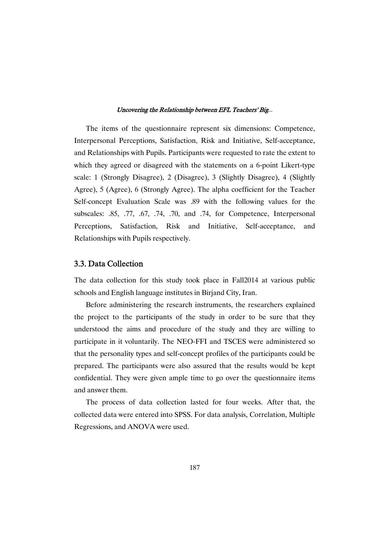The items of the questionnaire represent six dimensions: Competence, Interpersonal Perceptions, Satisfaction, Risk and Initiative, Self-acceptance, and Relationships with Pupils. Participants were requested to rate the extent to which they agreed or disagreed with the statements on a 6-point Likert-type scale: 1 (Strongly Disagree), 2 (Disagree), 3 (Slightly Disagree), 4 (Slightly Agree), 5 (Agree), 6 (Strongly Agree). The alpha coefficient for the Teacher Self-concept Evaluation Scale was .89 with the following values for the subscales: .85, .77, .67, .74, .70, and .74, for Competence, Interpersonal Perceptions, Satisfaction, Risk and Initiative, Self-acceptance, and Relationships with Pupils respectively.

### 3.3. Data Collection

The data collection for this study took place in Fall2014 at various public schools and English language institutes in Birjand City, Iran.

Before administering the research instruments, the researchers explained the project to the participants of the study in order to be sure that they understood the aims and procedure of the study and they are willing to participate in it voluntarily. The NEO-FFI and TSCES were administered so that the personality types and self-concept profiles of the participants could be prepared. The participants were also assured that the results would be kept confidential. They were given ample time to go over the questionnaire items and answer them.

The process of data collection lasted for four weeks. After that, the collected data were entered into SPSS. For data analysis, Correlation, Multiple Regressions, and ANOVA were used.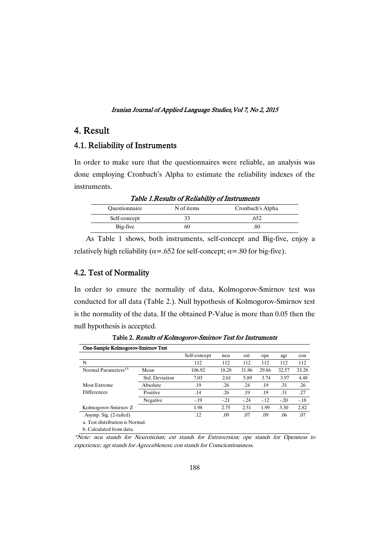## 4. Result

### 4.1. Reliability of Instruments

In order to make sure that the questionnaires were reliable, an analysis was done employing Cronbach's Alpha to estimate the reliability indexes of the instruments.

Table 1.Results of Reliability of Instruments Questionnaire N of items Cronbach's Alpha Self-concept 33 .652

 $Big-free$  60 .80

|  |  |  |  |  |  |  |  |                                                                                             | As Table 1 shows, both instruments, self-concept and Big-five, enjoy a |  |
|--|--|--|--|--|--|--|--|---------------------------------------------------------------------------------------------|------------------------------------------------------------------------|--|
|  |  |  |  |  |  |  |  | relatively high reliability ( $\alpha$ =.652 for self-concept; $\alpha$ =.80 for big-five). |                                                                        |  |

### 4.2. Test of Normality

In order to ensure the normality of data, Kolmogorov-Smirnov test was conducted for all data (Table 2.). Null hypothesis of Kolmogorov-Smirnov test is the normality of the data. If the obtained P-Value is more than 0.05 then the null hypothesis is accepted.

|                                  | One-Sample Kolmogorov-Smirnov Test |              |        |        |        |        |        |  |  |  |
|----------------------------------|------------------------------------|--------------|--------|--------|--------|--------|--------|--|--|--|
|                                  |                                    | Self-concept | neu    | ext    | ope    | agr    | con    |  |  |  |
| N                                |                                    | 112          | 112    | 112    | 112    | 112    | 112    |  |  |  |
| Normal Parameters <sup>a,b</sup> | Mean                               | 106.92       | 18.28  | 31.86  | 29.86  | 32.57  | 33.28  |  |  |  |
|                                  | Std. Deviation                     | 7.03         | 2.61   | 5.89   | 3.74   | 3.97   | 4.48   |  |  |  |
| Most Extreme                     | Absolute                           | .19          | .26    | .24    | .19    | .31    | .26    |  |  |  |
| <b>Differences</b>               | Positive                           | .14          | .26    | .19    | .19    | .31    | .27    |  |  |  |
|                                  | Negative                           | $-.19$       | $-.21$ | $-.24$ | $-.12$ | $-.20$ | $-.18$ |  |  |  |
| Kolmogorov-Smirnov Z             |                                    | 1.98         | 2.75   | 2.51   | 1.99   | 3.30   | 2.82   |  |  |  |
| Asymp. Sig. (2-tailed)           |                                    | .12          | .09    | .07    | .09    | .06    | .07    |  |  |  |
| a. Test distribution is Normal.  |                                    |              |        |        |        |        |        |  |  |  |
| b. Calculated from data.         |                                    |              |        |        |        |        |        |  |  |  |

Table 2. Results of Kolmogorov-Smirnov Test for Instruments

\*Note: neu stands for Neuroticism; ext stands for Extraversion; ope stands for Openness to experience; agr stands for Agreeableness; con stands for Conscientiousness.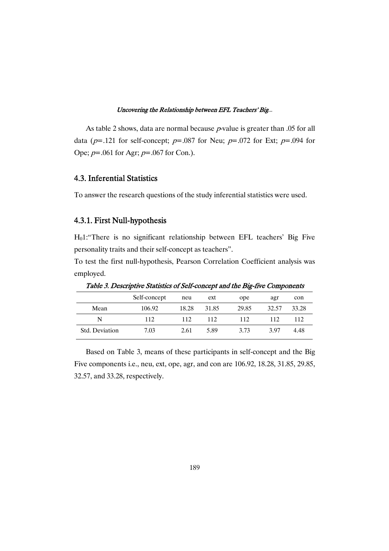As table 2 shows, data are normal because  $p$ -value is greater than .05 for all data ( $p=121$  for self-concept;  $p=.087$  for Neu;  $p=.072$  for Ext;  $p=.094$  for Ope;  $p=.061$  for Agr;  $p=.067$  for Con.).

### 4.3. Inferential Statistics

To answer the research questions of the study inferential statistics were used.

### 4.3.1. First Null-hypothesis

H01:"There is no significant relationship between EFL teachers' Big Five personality traits and their self-concept as teachers".

To test the first null-hypothesis, Pearson Correlation Coefficient analysis was employed.

|                |              |       |       | $\overline{\phantom{a}}$ |       |       |
|----------------|--------------|-------|-------|--------------------------|-------|-------|
|                | Self-concept | neu   | ext   | ope                      | agr   | con   |
| Mean           | 106.92       | 18.28 | 31.85 | 29.85                    | 32.57 | 33.28 |
| N              | 112          | 112   | 112   | 112                      | 112   | 112   |
| Std. Deviation | 7.03         | 2.61  | 5.89  | 3.73                     | 397   | 4.48  |

Table 3. Descriptive Statistics of Self-concept and the Big-five Components

Based on Table 3, means of these participants in self-concept and the Big Five components i.e., neu, ext, ope, agr, and con are 106.92, 18.28, 31.85, 29.85, 32.57, and 33.28, respectively.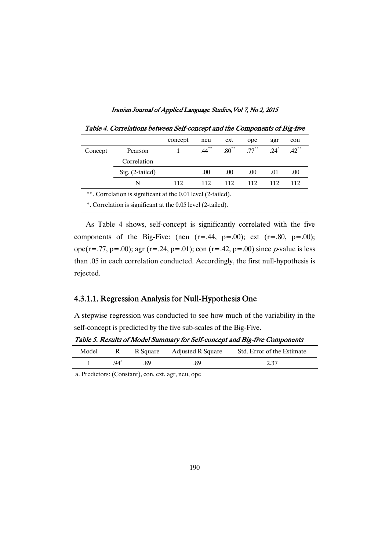|         |                                                              | concept | neu      | ext              | ope      | agr                | con                 |  |  |
|---------|--------------------------------------------------------------|---------|----------|------------------|----------|--------------------|---------------------|--|--|
| Concept | Pearson                                                      |         | $.44***$ | $.80^{\ast\ast}$ | $.77***$ | $.24$ <sup>*</sup> | $.42$ <sup>**</sup> |  |  |
|         | Correlation                                                  |         |          |                  |          |                    |                     |  |  |
|         | $Sig. (2-tailed)$                                            |         | .00      | .00              | .00.     | .01                | .00.                |  |  |
|         | N                                                            | 112     | 112      | 112              | 112      | 112                | 112                 |  |  |
|         | **. Correlation is significant at the 0.01 level (2-tailed). |         |          |                  |          |                    |                     |  |  |

Table 4. Correlations between Self-concept and the Components of Big-five

\*. Correlation is significant at the 0.05 level (2-tailed).

As Table 4 shows, self-concept is significantly correlated with the five components of the Big-Five: (neu  $(r=.44, p=.00)$ ; ext  $(r=.80, p=.00)$ ; ope(r=.77, p=.00); agr (r=.24, p=.01); con (r=.42, p=.00) since p-value is less than .05 in each correlation conducted. Accordingly, the first null-hypothesis is rejected.

### 4.3.1.1. Regression Analysis for Null-Hypothesis One

A stepwise regression was conducted to see how much of the variability in the self-concept is predicted by the five sub-scales of the Big-Five.

| Model |                                                    | R Square | Adjusted R Square | Std. Error of the Estimate |  |  |  |  |  |
|-------|----------------------------------------------------|----------|-------------------|----------------------------|--|--|--|--|--|
|       | $94^{\rm a}$                                       | 89       | .89               | 2.37                       |  |  |  |  |  |
|       | a. Predictors: (Constant), con, ext, agr, neu, ope |          |                   |                            |  |  |  |  |  |

Table 5. Results of Model Summary for Self-concept and Big-five Components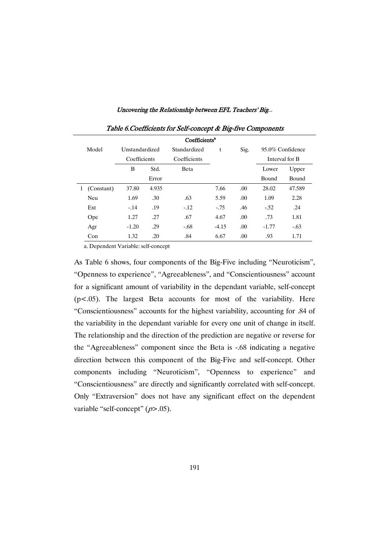|                 | Table 6. Coefficients for Self-concept & Big-five Components |       |              |         |      |                  |                |  |  |  |  |
|-----------------|--------------------------------------------------------------|-------|--------------|---------|------|------------------|----------------|--|--|--|--|
|                 | Coefficients <sup>a</sup>                                    |       |              |         |      |                  |                |  |  |  |  |
| Model           | Unstandardized                                               |       | Standardized | t       | Sig. | 95.0% Confidence |                |  |  |  |  |
|                 | Coefficients                                                 |       | Coefficients |         |      |                  | Interval for B |  |  |  |  |
|                 | B                                                            | Std.  | <b>Beta</b>  |         |      | Lower            | Upper          |  |  |  |  |
|                 |                                                              | Error |              |         |      | Bound            | Bound          |  |  |  |  |
| (Constant)<br>1 | 37.80                                                        | 4.935 |              | 7.66    | .00. | 28.02            | 47.589         |  |  |  |  |
| Neu             | 1.69                                                         | .30   | .63          | 5.59    | .00  | 1.09             | 2.28           |  |  |  |  |
| Ext             | $-.14$                                                       | .19   | $-.12$       | $-.75$  | .46  | $-.52$           | .24            |  |  |  |  |
| Ope             | 1.27                                                         | .27   | .67          | 4.67    | .00. | .73              | 1.81           |  |  |  |  |
| Agr             | $-1.20$                                                      | .29   | $-.68$       | $-4.15$ | .00  | $-1.77$          | $-.63$         |  |  |  |  |
| Con             | 1.32                                                         | .20   | .84          | 6.67    | .00  | .93              | 1.71           |  |  |  |  |

a. Dependent Variable: self-concept

As Table 6 shows, four components of the Big-Five including "Neuroticism", "Openness to experience", "Agreeableness", and "Conscientiousness" account for a significant amount of variability in the dependant variable, self-concept (p<.05). The largest Beta accounts for most of the variability. Here "Conscientiousness" accounts for the highest variability, accounting for .84 of the variability in the dependant variable for every one unit of change in itself. The relationship and the direction of the prediction are negative or reverse for the "Agreeableness" component since the Beta is -.68 indicating a negative direction between this component of the Big-Five and self-concept. Other components including "Neuroticism", "Openness to experience" and "Conscientiousness" are directly and significantly correlated with self-concept. Only "Extraversion" does not have any significant effect on the dependent variable "self-concept"  $(p>0.05)$ .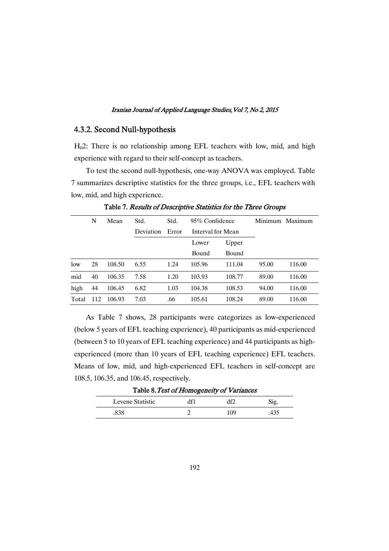### 4.3.2. Second Null-hypothesis

H02: There is no relationship among EFL teachers with low, mid, and high experience with regard to their self-concept as teachers.

To test the second null-hypothesis, one-way ANOVA was employed. Table 7 summarizes descriptive statistics for the three groups, i.e., EFL teachers with low, mid, and high experience.

|       | N   | Mean   | Std.      | Std.  | 95\% Confidence |                   |       | Minimum Maximum |
|-------|-----|--------|-----------|-------|-----------------|-------------------|-------|-----------------|
|       |     |        | Deviation | Error |                 | Interval for Mean |       |                 |
|       |     |        |           |       | Lower           | Upper             |       |                 |
|       |     |        |           |       | Bound           | Bound             |       |                 |
| low   | 28  | 108.50 | 6.55      | 1.24  | 105.96          | 111.04            | 95.00 | 116.00          |
| mid   | 40  | 106.35 | 7.58      | 1.20  | 103.93          | 108.77            | 89.00 | 116.00          |
| high  | 44  | 106.45 | 6.82      | 1.03  | 104.38          | 108.53            | 94.00 | 116.00          |
| Total | 112 | 106.93 | 7.03      | .66   | 105.61          | 108.24            | 89.00 | 116.00          |

Table 7. Results of Descriptive Statistics for the Three Groups

As Table 7 shows, 28 participants were categorizes as low-experienced (below 5 years of EFL teaching experience), 40 participants as mid-experienced (between 5 to 10 years of EFL teaching experience) and 44 participants as highexperienced (more than 10 years of EFL teaching experience) EFL teachers. Means of low, mid, and high-experienced EFL teachers in self-concept are 108.5, 106.35, and 106.45, respectively.

| Levene Statistic | ممدد | $\sim$ |
|------------------|------|--------|
|                  | ٬Ω٥  |        |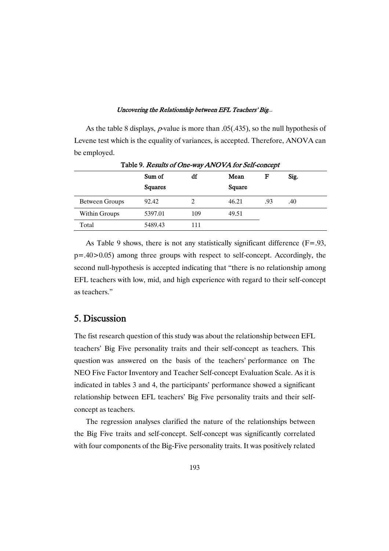As the table 8 displays, *p*-value is more than  $.05(.435)$ , so the null hypothesis of Levene test which is the equality of variances, is accepted. Therefore, ANOVA can be employed.

|                |                | -   |        |     |      |  |
|----------------|----------------|-----|--------|-----|------|--|
|                | Sum of         | df  | Mean   | F   | Sig. |  |
|                | <b>Squares</b> |     | Square |     |      |  |
| Between Groups | 92.42          |     | 46.21  | .93 | .40  |  |
| Within Groups  | 5397.01        | 109 | 49.51  |     |      |  |
| Total          | 5489.43        | 111 |        |     |      |  |
|                |                |     |        |     |      |  |

Table 9. Results of One-way ANOVA for Self-concept

As Table 9 shows, there is not any statistically significant difference (F=.93, p=.40>0.05) among three groups with respect to self-concept. Accordingly, the second null-hypothesis is accepted indicating that "there is no relationship among EFL teachers with low, mid, and high experience with regard to their self-concept as teachers."

## 5. Discussion

The fist research question of this study was about the relationship between EFL teachers' Big Five personality traits and their self-concept as teachers. This question was answered on the basis of the teachers' performance on The NEO Five Factor Inventory and Teacher Self-concept Evaluation Scale. As it is indicated in tables 3 and 4, the participants' performance showed a significant relationship between EFL teachers' Big Five personality traits and their selfconcept as teachers.

The regression analyses clarified the nature of the relationships between the Big Five traits and self-concept. Self-concept was significantly correlated with four components of the Big-Five personality traits. It was positively related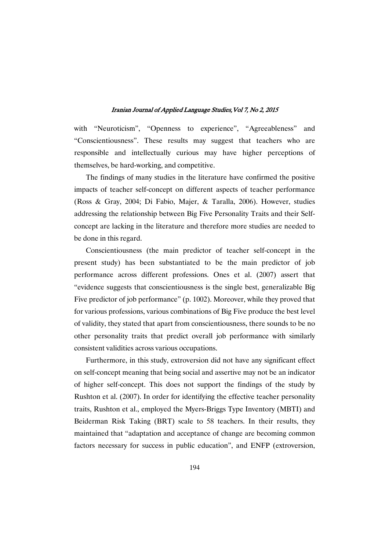with "Neuroticism", "Openness to experience", "Agreeableness" and "Conscientiousness". These results may suggest that teachers who are responsible and intellectually curious may have higher perceptions of themselves, be hard-working, and competitive.

The findings of many studies in the literature have confirmed the positive impacts of teacher self-concept on different aspects of teacher performance (Ross & Gray, 2004; Di Fabio, Majer, & Taralla, 2006). However, studies addressing the relationship between Big Five Personality Traits and their Selfconcept are lacking in the literature and therefore more studies are needed to be done in this regard.

Conscientiousness (the main predictor of teacher self-concept in the present study) has been substantiated to be the main predictor of job performance across different professions. Ones et al. (2007) assert that "evidence suggests that conscientiousness is the single best, generalizable Big Five predictor of job performance" (p. 1002). Moreover, while they proved that for various professions, various combinations of Big Five produce the best level of validity, they stated that apart from conscientiousness, there sounds to be no other personality traits that predict overall job performance with similarly consistent validities across various occupations.

Furthermore, in this study, extroversion did not have any significant effect on self-concept meaning that being social and assertive may not be an indicator of higher self-concept. This does not support the findings of the study by Rushton et al. (2007). In order for identifying the effective teacher personality traits, Rushton et al., employed the Myers-Briggs Type Inventory (MBTI) and Beiderman Risk Taking (BRT) scale to 58 teachers. In their results, they maintained that "adaptation and acceptance of change are becoming common factors necessary for success in public education", and ENFP (extroversion,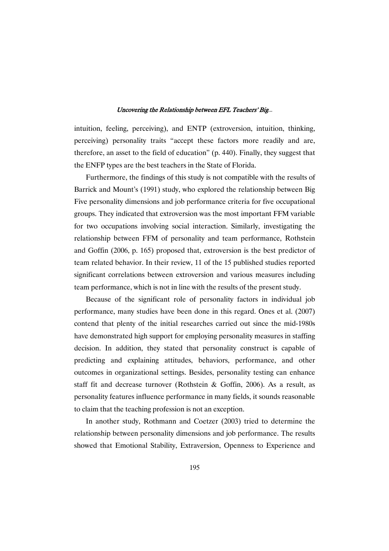intuition, feeling, perceiving), and ENTP (extroversion, intuition, thinking, perceiving) personality traits "accept these factors more readily and are, therefore, an asset to the field of education" (p. 440). Finally, they suggest that the ENFP types are the best teachers in the State of Florida.

Furthermore, the findings of this study is not compatible with the results of Barrick and Mount's (1991) study, who explored the relationship between Big Five personality dimensions and job performance criteria for five occupational groups. They indicated that extroversion was the most important FFM variable for two occupations involving social interaction. Similarly, investigating the relationship between FFM of personality and team performance, Rothstein and Goffin (2006, p. 165) proposed that, extroversion is the best predictor of team related behavior. In their review, 11 of the 15 published studies reported significant correlations between extroversion and various measures including team performance, which is not in line with the results of the present study.

Because of the significant role of personality factors in individual job performance, many studies have been done in this regard. Ones et al. (2007) contend that plenty of the initial researches carried out since the mid-1980s have demonstrated high support for employing personality measures in staffing decision. In addition, they stated that personality construct is capable of predicting and explaining attitudes, behaviors, performance, and other outcomes in organizational settings. Besides, personality testing can enhance staff fit and decrease turnover (Rothstein & Goffin, 2006). As a result, as personality features influence performance in many fields, it sounds reasonable to claim that the teaching profession is not an exception.

In another study, Rothmann and Coetzer (2003) tried to determine the relationship between personality dimensions and job performance. The results showed that Emotional Stability, Extraversion, Openness to Experience and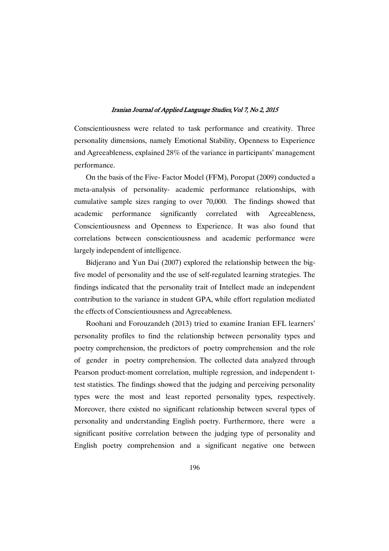Conscientiousness were related to task performance and creativity. Three personality dimensions, namely Emotional Stability, Openness to Experience and Agreeableness, explained 28% of the variance in participants' management performance.

On the basis of the Five- Factor Model (FFM), Poropat (2009) conducted a meta-analysis of personality- academic performance relationships, with cumulative sample sizes ranging to over 70,000. The findings showed that academic performance significantly correlated with Agreeableness, Conscientiousness and Openness to Experience. It was also found that correlations between conscientiousness and academic performance were largely independent of intelligence.

Bidjerano and Yun Dai (2007) explored the relationship between the bigfive model of personality and the use of self-regulated learning strategies. The findings indicated that the personality trait of Intellect made an independent contribution to the variance in student GPA, while effort regulation mediated the effects of Conscientiousness and Agreeableness.

Roohani and Forouzandeh (2013) tried to examine Iranian EFL learners' personality profiles to find the relationship between personality types and poetry comprehension, the predictors of poetry comprehension and the role of gender in poetry comprehension. The collected data analyzed through Pearson product-moment correlation, multiple regression, and independent ttest statistics. The findings showed that the judging and perceiving personality types were the most and least reported personality types, respectively. Moreover, there existed no significant relationship between several types of personality and understanding English poetry. Furthermore, there were a significant positive correlation between the judging type of personality and English poetry comprehension and a significant negative one between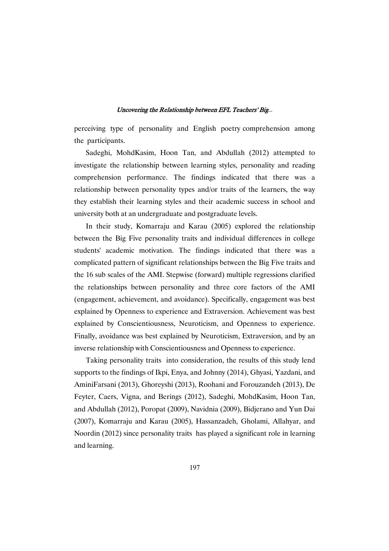perceiving type of personality and English poetry comprehension among the participants.

Sadeghi, MohdKasim, Hoon Tan, and Abdullah (2012) attempted to investigate the relationship between learning styles, personality and reading comprehension performance. The findings indicated that there was a relationship between personality types and/or traits of the learners, the way they establish their learning styles and their academic success in school and university both at an undergraduate and postgraduate levels.

In their study, Komarraju and Karau (2005) explored the relationship between the Big Five personality traits and individual differences in college students' academic motivation. The findings indicated that there was a complicated pattern of significant relationships between the Big Five traits and the 16 sub scales of the AMI. Stepwise (forward) multiple regressions clarified the relationships between personality and three core factors of the AMI (engagement, achievement, and avoidance). Specifically, engagement was best explained by Openness to experience and Extraversion. Achievement was best explained by Conscientiousness, Neuroticism, and Openness to experience. Finally, avoidance was best explained by Neuroticism, Extraversion, and by an inverse relationship with Conscientiousness and Openness to experience.

Taking personality traits into consideration, the results of this study lend supports to the findings of Ikpi, Enya, and Johnny (2014), Ghyasi, Yazdani, and AminiFarsani (2013), Ghoreyshi (2013), Roohani and Forouzandeh (2013), De Feyter, Caers, Vigna, and Berings (2012), Sadeghi, MohdKasim, Hoon Tan, and Abdullah (2012), Poropat (2009), Navidnia (2009), Bidjerano and Yun Dai (2007), Komarraju and Karau (2005), Hassanzadeh, Gholami, Allahyar, and Noordin (2012) since personality traits has played a significant role in learning and learning.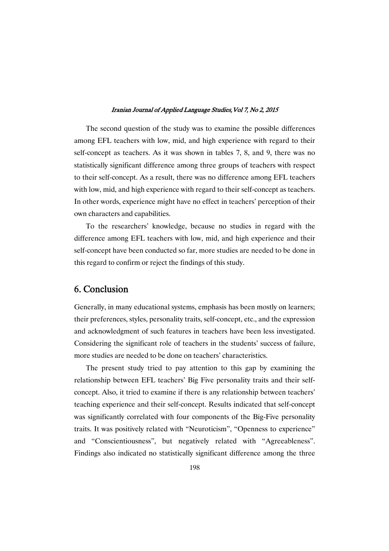The second question of the study was to examine the possible differences among EFL teachers with low, mid, and high experience with regard to their self-concept as teachers. As it was shown in tables 7, 8, and 9, there was no statistically significant difference among three groups of teachers with respect to their self-concept. As a result, there was no difference among EFL teachers with low, mid, and high experience with regard to their self-concept as teachers. In other words, experience might have no effect in teachers' perception of their own characters and capabilities.

To the researchers' knowledge, because no studies in regard with the difference among EFL teachers with low, mid, and high experience and their self-concept have been conducted so far, more studies are needed to be done in this regard to confirm or reject the findings of this study.

## 6. Conclusion

Generally, in many educational systems, emphasis has been mostly on learners; their preferences, styles, personality traits, self-concept, etc., and the expression and acknowledgment of such features in teachers have been less investigated. Considering the significant role of teachers in the students' success of failure, more studies are needed to be done on teachers' characteristics.

The present study tried to pay attention to this gap by examining the relationship between EFL teachers' Big Five personality traits and their selfconcept. Also, it tried to examine if there is any relationship between teachers' teaching experience and their self-concept. Results indicated that self-concept was significantly correlated with four components of the Big-Five personality traits. It was positively related with "Neuroticism", "Openness to experience" and "Conscientiousness", but negatively related with "Agreeableness". Findings also indicated no statistically significant difference among the three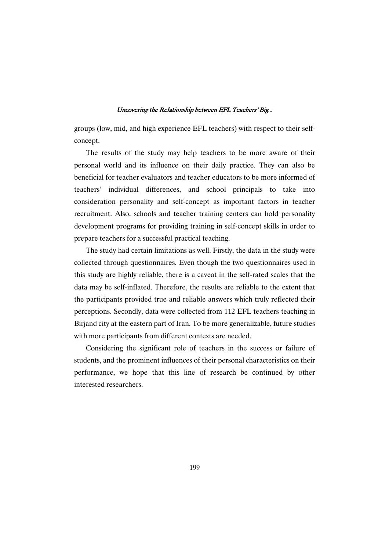groups (low, mid, and high experience EFL teachers) with respect to their selfconcept.

The results of the study may help teachers to be more aware of their personal world and its influence on their daily practice. They can also be beneficial for teacher evaluators and teacher educators to be more informed of teachers' individual differences, and school principals to take into consideration personality and self-concept as important factors in teacher recruitment. Also, schools and teacher training centers can hold personality development programs for providing training in self-concept skills in order to prepare teachers for a successful practical teaching.

The study had certain limitations as well. Firstly, the data in the study were collected through questionnaires. Even though the two questionnaires used in this study are highly reliable, there is a caveat in the self-rated scales that the data may be self-inflated. Therefore, the results are reliable to the extent that the participants provided true and reliable answers which truly reflected their perceptions. Secondly, data were collected from 112 EFL teachers teaching in Birjand city at the eastern part of Iran. To be more generalizable, future studies with more participants from different contexts are needed.

Considering the significant role of teachers in the success or failure of students, and the prominent influences of their personal characteristics on their performance, we hope that this line of research be continued by other interested researchers.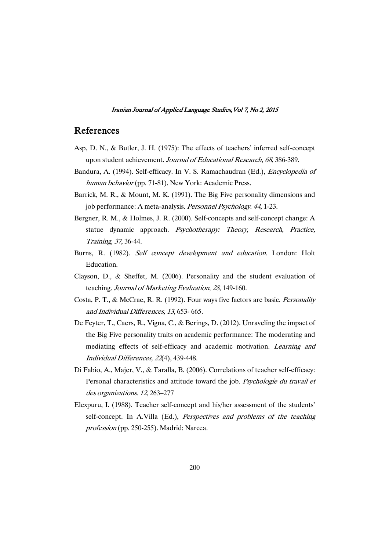## References

- Asp, D. N., & Butler, J. H. (1975): The effects of teachers' inferred self-concept upon student achievement. Journal of Educational Research, <sup>68</sup>, 386-389.
- Bandura, A. (1994). Self-efficacy. In V. S. Ramachaudran (Ed.), Encyclopedia of human behavior (pp. 71-81). New York: Academic Press.
- Barrick, M. R., & Mount, M. K. (1991). The Big Five personality dimensions and job performance: A meta-analysis. Personnel Psychology. 44, 1-23.
- Bergner, R. M., & Holmes, J. R. (2000). Self-concepts and self-concept change: A statue dynamic approach. Psychotherapy: Theory, Research, Practice, Training, <sup>37</sup>, 36-44.
- Burns, R. (1982). Self concept development and education. London: Holt Education.
- Clayson, D., & Sheffet, M. (2006). Personality and the student evaluation of teaching. Journal of Marketing Evaluation, <sup>28</sup>, 149-160.
- Costa, P. T., & McCrae, R. R. (1992). Four ways five factors are basic. Personality and Individual Differences, <sup>13</sup>, 653- 665.
- De Feyter, T., Caers, R., Vigna, C., & Berings, D. (2012). Unraveling the impact of the Big Five personality traits on academic performance: The moderating and mediating effects of self-efficacy and academic motivation. Learning and Individual Differences, <sup>22</sup>(4), 439-448.
- Di Fabio, A., Majer, V., & Taralla, B. (2006). Correlations of teacher self-efficacy: Personal characteristics and attitude toward the job. Psychologie du travail et des organizations. <sup>12</sup>, 263–277
- Elexpuru, I. (1988). Teacher self-concept and his/her assessment of the students' self-concept. In A.Villa (Ed.), *Perspectives and problems of the teaching* profession (pp. 250-255). Madrid: Narcea.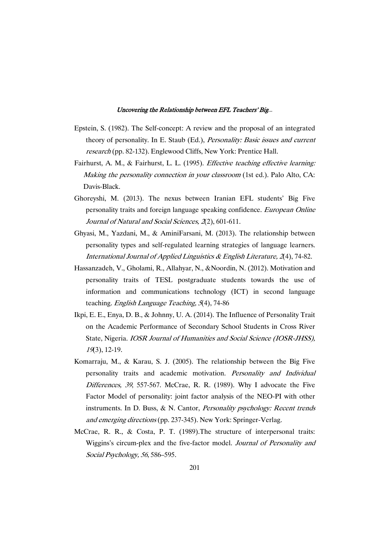- Epstein, S. (1982). The Self-concept: A review and the proposal of an integrated theory of personality. In E. Staub (Ed.), *Personality: Basic issues and current* research (pp. 82-132). Englewood Cliffs, New York: Prentice Hall.
- Fairhurst, A. M., & Fairhurst, L. L. (1995). Effective teaching effective learning: Making the personality connection in your classroom (1st ed.). Palo Alto, CA: Davis-Black.
- Ghoreyshi, M. (2013). The nexus between Iranian EFL students' Big Five personality traits and foreign language speaking confidence. European Online Journal of Natural and Social Sciences, <sup>2</sup>(2), 601-611.
- Ghyasi, M., Yazdani, M., & AminiFarsani, M. (2013). The relationship between personality types and self-regulated learning strategies of language learners. International Journal of Applied Linguistics & English Literature, <sup>2</sup>(4), 74-82.
- Hassanzadeh, V., Gholami, R., Allahyar, N., &Noordin, N. (2012). Motivation and personality traits of TESL postgraduate students towards the use of information and communications technology (ICT) in second language teaching. English Language Teaching, <sup>5</sup>(4), 74-86
- Ikpi, E. E., Enya, D. B., & Johnny, U. A. (2014). The Influence of Personality Trait on the Academic Performance of Secondary School Students in Cross River State, Nigeria. IOSR Journal of Humanities and Social Science (IOSR-JHSS), <sup>19</sup>(3), 12-19.
- Komarraju, M., & Karau, S. J. (2005). The relationship between the Big Five personality traits and academic motivation. Personality and Individual Differences, <sup>39</sup>, 557-567. McCrae, R. R. (1989). Why I advocate the Five Factor Model of personality: joint factor analysis of the NEO-PI with other instruments. In D. Buss, & N. Cantor, *Personality psychology: Recent trends* and emerging directions (pp. 237-345). New York: Springer-Verlag.
- McCrae, R. R., & Costa, P. T. (1989).The structure of interpersonal traits: Wiggins's circum-plex and the five-factor model. Journal of Personality and Social Psychology, <sup>56</sup>, 586–595.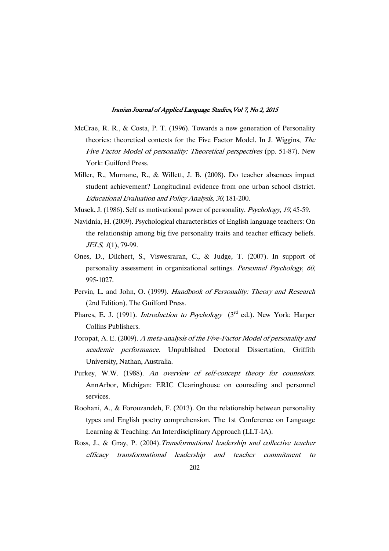- McCrae, R. R., & Costa, P. T. (1996). Towards a new generation of Personality theories: theoretical contexts for the Five Factor Model. In J. Wiggins, The Five Factor Model of personality: Theoretical perspectives (pp. 51-87). New York: Guilford Press.
- Miller, R., Murnane, R., & Willett, J. B. (2008). Do teacher absences impact student achievement? Longitudinal evidence from one urban school district. Educational Evaluation and Policy Analysis, <sup>30</sup>, 181-200.
- Musek, J. (1986). Self as motivational power of personality. Psychology, <sup>19</sup>, 45-59.
- Navidnia, H. (2009). Psychological characteristics of English language teachers: On the relationship among big five personality traits and teacher efficacy beliefs. JELS, 1(1), 79-99.
- Ones, D., Dilchert, S., Viswesraran, C., & Judge, T. (2007). In support of personality assessment in organizational settings. Personnel Psychology, <sup>60</sup>, 995-1027.
- Pervin, L. and John, O. (1999). Handbook of Personality: Theory and Research (2nd Edition). The Guilford Press.
- Phares, E. J. (1991). *Introduction to Psychology* ( $3<sup>rd</sup>$  ed.). New York: Harper Collins Publishers.
- Poropat, A. E. (2009). <sup>A</sup> meta-analysis of the Five-Factor Model of personality and academic performance. Unpublished Doctoral Dissertation, Griffith University, Nathan, Australia.
- Purkey, W.W. (1988). An overview of self-concept theory for counselors. AnnArbor, Michigan: ERIC Clearinghouse on counseling and personnel services.
- Roohani, A., & Forouzandeh, F. (2013). On the relationship between personality types and English poetry comprehension. The 1st Conference on Language Learning & Teaching: An Interdisciplinary Approach (LLT-IA).
- Ross, J., & Gray, P. (2004).Transformational leadership and collective teacher efficacy transformational leadership and teacher commitment to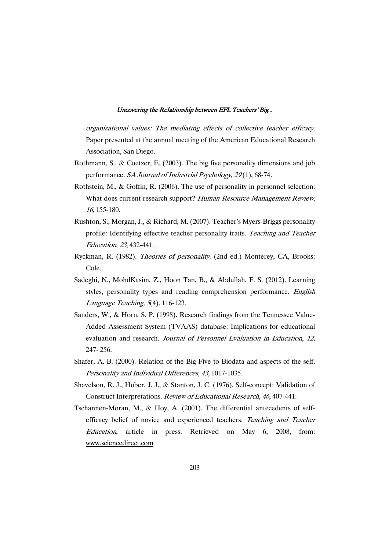organizational values: The mediating effects of collective teacher efficacy. Paper presented at the annual meeting of the American Educational Research Association, San Diego.

- Rothmann, S., & Coetzer, E. (2003). The big five personality dimensions and job performance. SA Journal of Industrial Psychology, 29(1), 68-74.
- Rothstein, M., & Goffin, R. (2006). The use of personality in personnel selection: What does current research support? Human Resource Management Review, <sup>16</sup>, 155-180.
- Rushton, S., Morgan, J., & Richard, M. (2007). Teacher's Myers-Briggs personality profile: Identifying effective teacher personality traits. Teaching and Teacher Education, <sup>23</sup>, 432-441.
- Ryckman, R. (1982). Theories of personality. (2nd ed.) Monterey, CA, Brooks: Cole.
- Sadeghi, N., MohdKasim, Z., Hoon Tan, B., & Abdullah, F. S. (2012). Learning styles, personality types and reading comprehension performance. English Language Teaching, <sup>5</sup>(4), 116-123.
- Sanders, W., & Horn, S. P. (1998). Research findings from the Tennessee Value-Added Assessment System (TVAAS) database: Implications for educational evaluation and research. Journal of Personnel Evaluation in Education, <sup>12</sup>, 247- 256.
- Shafer, A. B. (2000). Relation of the Big Five to Biodata and aspects of the self. Personality and Individual Differences, <sup>43</sup>, 1017-1035.
- Shavelson, R. J., Huber, J. J., & Stanton, J. C. (1976). Self-concept: Validation of Construct Interpretations. Review of Educational Research, <sup>46</sup>, 407-441.
- Tschannen-Moran, M., & Hoy, A. (2001). The differential antecedents of selfefficacy belief of novice and experienced teachers. Teaching and Teacher Education, article in press. Retrieved on May 6, 2008, from: www.sciencedirect.com